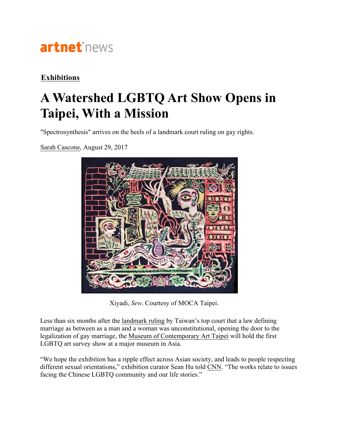

## **Exhibitions**

## **A Watershed LGBTQ Art Show Opens in Taipei, With a Mission**

"Spectrosynthesis" arrives on the heels of a landmark court ruling on gay rights.

Sarah Cascone, August 29, 2017



Xiyadi, *Sew*. Courtesy of MOCA Taipei.

Less than six months after the landmark ruling by Taiwan's top court that a law defining marriage as between as a man and a woman was unconstitutional, opening the door to the legalization of gay marriage, the Museum of Contemporary Art Taipei will hold the first LGBTQ art survey show at a major museum in Asia.

"We hope the exhibition has a ripple effect across Asian society, and leads to people respecting different sexual orientations," exhibition curator Sean Hu told CNN. "The works relate to issues facing the Chinese LGBTQ community and our life stories."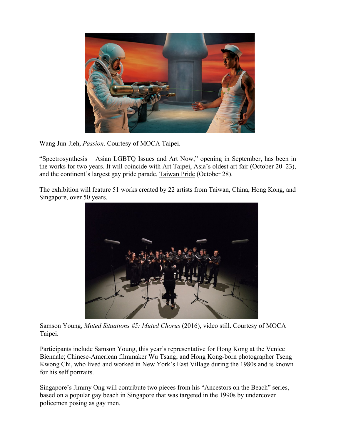

Wang Jun-Jieh, *Passion.* Courtesy of MOCA Taipei.

"Spectrosynthesis – Asian LGBTQ Issues and Art Now," opening in September, has been in the works for two years. It will coincide with Art Taipei, Asia's oldest art fair (October 20–23), and the continent's largest gay pride parade, Taiwan Pride (October 28).

The exhibition will feature 51 works created by 22 artists from Taiwan, China, Hong Kong, and Singapore, over 50 years.



Samson Young, *Muted Situations #5: Muted Chorus* (2016), video still. Courtesy of MOCA Taipei.

Participants include Samson Young, this year's representative for Hong Kong at the Venice Biennale; Chinese-American filmmaker Wu Tsang; and Hong Kong-born photographer Tseng Kwong Chi, who lived and worked in New York's East Village during the 1980s and is known for his self portraits.

Singapore's Jimmy Ong will contribute two pieces from his "Ancestors on the Beach" series, based on a popular gay beach in Singapore that was targeted in the 1990s by undercover policemen posing as gay men.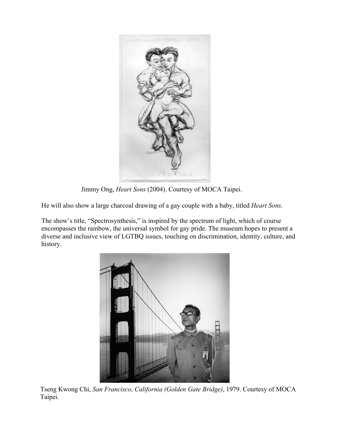

Jimmy Ong, *Heart Sons* (2004). Courtesy of MOCA Taipei.

He will also show a large charcoal drawing of a gay couple with a baby, titled *Heart Sons*.

The show's title, "Spectrosynthesis," is inspired by the spectrum of light, which of course encompasses the rainbow, the universal symbol for gay pride. The museum hopes to present a diverse and inclusive view of LGTBQ issues, touching on discrimination, identity, culture, and history.



Tseng Kwong Chi, *San Francisco, California (Golden Gate Bridge)*, 1979. Courtesy of MOCA Taipei.